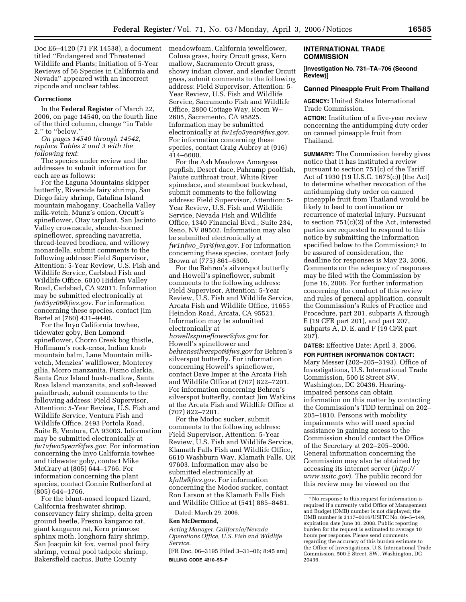Doc E6–4120 (71 FR 14538), a document titled ''Endangered and Threatened Wildlife and Plants; Initiation of 5-Year Reviews of 56 Species in California and Nevada'' appeared with an incorrect zipcode and unclear tables.

#### **Corrections**

In the **Federal Register** of March 22, 2006, on page 14540, on the fourth line of the third column, change ''in Table 2.'' to ''below.''

*On pages 14540 through 14542, replace Tables 2 and 3 with the following text*:

The species under review and the addresses to submit information for each are as follows:

For the Laguna Mountains skipper butterfly, Riverside fairy shrimp, San Diego fairy shrimp, Catalina Island mountain mahogany, Coachella Valley milk-vetch, Munz's onion, Orcutt's spineflower, Otay tarplant, San Jacinto Valley crownscale, slender-horned spineflower, spreading navarretia, thread-leaved brodiaea, and willowy monardella, submit comments to the following address: Field Supervisor, Attention: 5-Year Review, U.S. Fish and Wildlife Service, Carlsbad Fish and Wildlife Office, 6010 Hidden Valley Road, Carlsbad, CA 92011. Information may be submitted electronically at *fw85yr06@fws.gov*. For information concerning these species, contact Jim Bartel at (760) 431–9440.

For the Inyo California towhee, tidewater goby, Ben Lomond spineflower, Chorro Creek bog thistle, Hoffmann's rock-cress, Indian knob mountain balm, Lane Mountain milkvetch, Menzies' wallflower, Monterey gilia, Morro manzanita, Pismo clarkia, Santa Cruz Island bush-mallow, Santa Rosa Island manzanita, and soft-leaved paintbrush, submit comments to the following address: Field Supervisor, Attention: 5-Year Review, U.S. Fish and Wildlife Service, Ventura Fish and Wildlife Office, 2493 Portola Road, Suite B, Ventura, CA 93003. Information may be submitted electronically at *fw1vfwo5year@fws.gov.* For information concerning the Inyo California towhee and tidewater goby, contact Mike McCrary at (805) 644–1766. For information concerning the plant species, contact Connie Rutherford at (805) 644–1766.

For the blunt-nosed leopard lizard, California freshwater shrimp, conservancy fairy shrimp, delta green ground beetle, Fresno kangaroo rat, giant kangaroo rat, Kern primrose sphinx moth, longhorn fairy shrimp, San Joaquin kit fox, vernal pool fairy shrimp, vernal pool tadpole shrimp, Bakersfield cactus, Butte County

meadowfoam, California jewelflower, Colusa grass, hairy Orcutt grass, Kern mallow, Sacramento Orcutt grass, showy indian clover, and slender Orcutt grass, submit comments to the following address: Field Supervisor, Attention: 5- Year Review, U.S. Fish and Wildlife Service, Sacramento Fish and Wildlife Office, 2800 Cottage Way, Room W– 2605, Sacramento, CA 95825. Information may be submitted electronically at *fw1sfo5year@fws.gov.*  For information concerning these species, contact Craig Aubrey at (916) 414–6600.

For the Ash Meadows Amargosa pupfish, Desert dace, Pahrump poolfish, Paiute cutthroat trout, White River spinedace, and steamboat buckwheat, submit comments to the following address: Field Supervisor, Attention: 5- Year Review, U.S. Fish and Wildlife Service, Nevada Fish and Wildlife Office, 1340 Financial Blvd., Suite 234, Reno, NV 89502. Information may also be submitted electronically at *fw1nfwo*\_*5yr@fws.gov.* For information concerning these species, contact Jody Brown at (775) 861–6300.

For the Behren's silverspot butterfly and Howell's spineflower, submit comments to the following address: Field Supervisor, Attention: 5-Year Review, U.S. Fish and Wildlife Service, Arcata Fish and Wildlife Office, 11655 Heindon Road, Arcata, CA 95521. Information may be submitted electronically at *howellsspineflower@fws.gov* for Howell's spineflower and *behrenssilverspot@fws.gov* for Behren's silverspot butterfly. For information concerning Howell's spineflower, contact Dave Imper at the Arcata Fish and Wildlife Office at (707) 822–7201. For information concerning Behren's silverspot butterfly, contact Jim Watkins at the Arcata Fish and Wildlife Office at (707) 822–7201.

For the Modoc sucker, submit comments to the following address: Field Supervisor, Attention: 5-Year Review, U.S. Fish and Wildlife Service, Klamath Falls Fish and Wildlife Office, 6610 Washburn Way, Klamath Falls, OR 97603. Information may also be submitted electronically at *kfalls@fws.gov*. For information concerning the Modoc sucker, contact Ron Larson at the Klamath Falls Fish and Wildlife Office at (541) 885–8481.

Dated: March 29, 2006.

# **Ken McDermond,**

*Acting Manager, California/Nevada Operations Office, U.S. Fish and Wildlife Service.* 

[FR Doc. 06–3195 Filed 3–31–06; 8:45 am] **BILLING CODE 4310–55–P** 

## **INTERNATIONAL TRADE COMMISSION**

**[Investigation No. 731–TA–706 (Second Review)]** 

#### **Canned Pineapple Fruit From Thailand**

**AGENCY:** United States International Trade Commission.

**ACTION:** Institution of a five-year review concerning the antidumping duty order on canned pineapple fruit from Thailand.

**SUMMARY:** The Commission hereby gives notice that it has instituted a review pursuant to section 751(c) of the Tariff Act of 1930 (19 U.S.C. 1675(c)) (the Act) to determine whether revocation of the antidumping duty order on canned pineapple fruit from Thailand would be likely to lead to continuation or recurrence of material injury. Pursuant to section 751(c)(2) of the Act, interested parties are requested to respond to this notice by submitting the information specified below to the Commission;<sup>1</sup> to be assured of consideration, the deadline for responses is May 23, 2006. Comments on the adequacy of responses may be filed with the Commission by June 16, 2006. For further information concerning the conduct of this review and rules of general application, consult the Commission's Rules of Practice and Procedure, part 201, subparts A through E (19 CFR part 201), and part 207, subparts A, D, E, and F (19 CFR part 207).

**DATES:** Effective Date: April 3, 2006.

**FOR FURTHER INFORMATION CONTACT:**  Mary Messer (202–205–3193), Office of Investigations, U.S. International Trade Commission, 500 E Street SW, Washington, DC 20436. Hearingimpaired persons can obtain information on this matter by contacting the Commission's TDD terminal on 202– 205–1810. Persons with mobility impairments who will need special assistance in gaining access to the Commission should contact the Office of the Secretary at 202–205–2000. General information concerning the Commission may also be obtained by accessing its internet server (*http:// www.usitc.gov*). The public record for this review may be viewed on the

<sup>1</sup>No response to this request for information is required if a currently valid Office of Management and Budget (OMB) number is not displayed; the OMB number is 3117–0016/USITC No. 06–5–149, expiration date June 30, 2008. Public reporting burden for the request is estimated to average 10 hours per response. Please send comments regarding the accuracy of this burden estimate to the Office of Investigations, U.S. International Trade Commission, 500 E Street, SW., Washington, DC 20436.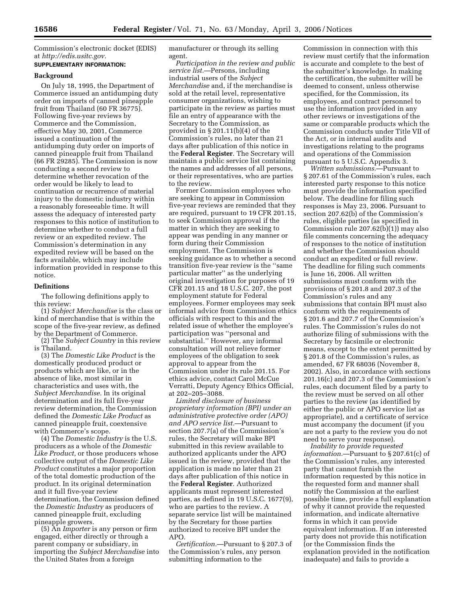Commission's electronic docket (EDIS) at *http://edis.usitc.gov.*  **SUPPLEMENTARY INFORMATION:** 

# **Background**

On July 18, 1995, the Department of Commerce issued an antidumping duty order on imports of canned pineapple fruit from Thailand (60 FR 36775). Following five-year reviews by Commerce and the Commission, effective May 30, 2001, Commerce issued a continuation of the antidumping duty order on imports of canned pineapple fruit from Thailand (66 FR 29285). The Commission is now conducting a second review to determine whether revocation of the order would be likely to lead to continuation or recurrence of material injury to the domestic industry within a reasonably foreseeable time. It will assess the adequacy of interested party responses to this notice of institution to determine whether to conduct a full review or an expedited review. The Commission's determination in any expedited review will be based on the facts available, which may include information provided in response to this notice.

#### **Definitions**

The following definitions apply to this review:

(1) *Subject Merchandise* is the class or kind of merchandise that is within the scope of the five-year review, as defined by the Department of Commerce.

(2) The *Subject Country* in this review is Thailand.

(3) The *Domestic Like Product* is the domestically produced product or products which are like, or in the absence of like, most similar in characteristics and uses with, the *Subject Merchandise.* In its original determination and its full five-year review determination, the Commission defined the *Domestic Like Product* as canned pineapple fruit, coextensive with Commerce's scope.

(4) The *Domestic Industry* is the U.S. producers as a whole of the *Domestic Like Product,* or those producers whose collective output of the *Domestic Like Product* constitutes a major proportion of the total domestic production of the product. In its original determination and it full five-year review determination, the Commission defined the *Domestic Industry* as producers of canned pineapple fruit, excluding pineapple growers.

(5) An *Importer* is any person or firm engaged, either directly or through a parent company or subsidiary, in importing the *Subject Merchandise* into the United States from a foreign

manufacturer or through its selling agent.

*Participation in the review and public service list.*—Persons, including industrial users of the *Subject Merchandise* and, if the merchandise is sold at the retail level, representative consumer organizations, wishing to participate in the review as parties must file an entry of appearance with the Secretary to the Commission, as provided in § 201.11(b)(4) of the Commission's rules, no later than 21 days after publication of this notice in the **Federal Register**. The Secretary will maintain a public service list containing the names and addresses of all persons, or their representatives, who are parties to the review.

Former Commission employees who are seeking to appear in Commission five-year reviews are reminded that they are required, pursuant to 19 CFR 201.15, to seek Commission approval if the matter in which they are seeking to appear was pending in any manner or form during their Commission employment. The Commission is seeking guidance as to whether a second transition five-year review is the ''same particular matter'' as the underlying original investigation for purposes of 19 CFR 201.15 and 18 U.S.C. 207, the post employment statute for Federal employees. Former employees may seek informal advice from Commission ethics officials with respect to this and the related issue of whether the employee's participation was ''personal and substantial.'' However, any informal consultation will not relieve former employees of the obligation to seek approval to appear from the Commission under its rule 201.15. For ethics advice, contact Carol McCue Verratti, Deputy Agency Ethics Official, at 202–205–3088.

*Limited disclosure of business proprietary information (BPI) under an administrative protective order (APO) and APO service list.*—Pursuant to section 207.7(a) of the Commission's rules, the Secretary will make BPI submitted in this review available to authorized applicants under the APO issued in the review, provided that the application is made no later than 21 days after publication of this notice in the **Federal Register**. Authorized applicants must represent interested parties, as defined in 19 U.S.C. 1677(9), who are parties to the review. A separate service list will be maintained by the Secretary for those parties authorized to receive BPI under the APO.

*Certification.*—Pursuant to § 207.3 of the Commission's rules, any person submitting information to the

Commission in connection with this review must certify that the information is accurate and complete to the best of the submitter's knowledge. In making the certification, the submitter will be deemed to consent, unless otherwise specified, for the Commission, its employees, and contract personnel to use the information provided in any other reviews or investigations of the same or comparable products which the Commission conducts under Title VII of the Act, or in internal audits and investigations relating to the programs and operations of the Commission pursuant to 5 U.S.C. Appendix 3.

*Written submissions.*—Pursuant to § 207.61 of the Commission's rules, each interested party response to this notice must provide the information specified below. The deadline for filing such responses is May 23, 2006. Pursuant to section 207.62(b) of the Commission's rules, eligible parties (as specified in Commission rule 207.62(b)(1)) may also file comments concerning the adequacy of responses to the notice of institution and whether the Commission should conduct an expedited or full review. The deadline for filing such comments is June 16, 2006. All written submissions must conform with the provisions of § 201.8 and 207.3 of the Commission's rules and any submissions that contain BPI must also conform with the requirements of § 201.6 and 207.7 of the Commission's rules. The Commission's rules do not authorize filing of submissions with the Secretary by facsimile or electronic means, except to the extent permitted by § 201.8 of the Commission's rules, as amended, 67 FR 68036 (November 8, 2002). Also, in accordance with sections 201.16(c) and 207.3 of the Commission's rules, each document filed by a party to the review must be served on all other parties to the review (as identified by either the public or APO service list as appropriate), and a certificate of service must accompany the document (if you are not a party to the review you do not need to serve your response).

*Inability to provide requested information.*—Pursuant to § 207.61(c) of the Commission's rules, any interested party that cannot furnish the information requested by this notice in the requested form and manner shall notify the Commission at the earliest possible time, provide a full explanation of why it cannot provide the requested information, and indicate alternative forms in which it can provide equivalent information. If an interested party does not provide this notification (or the Commission finds the explanation provided in the notification inadequate) and fails to provide a